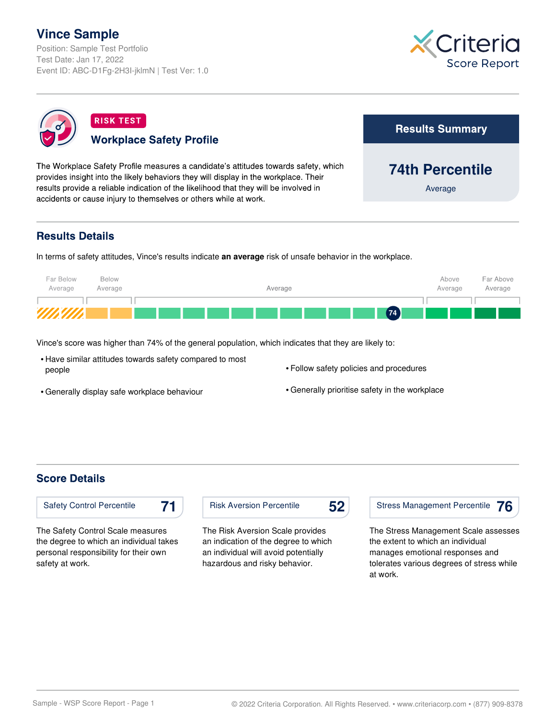# **Vince Sample**

Position: Sample Test Portfolio Test Date: Jan 17, 2022 Event ID: ABC-D1Fg-2H3I-jklmN | Test Ver: 1.0





## **Results Details**

In terms of safety attitudes, Vince's results indicate **an average** risk of unsafe behavior in the workplace.



Vince's score was higher than 74% of the general population, which indicates that they are likely to:

- Have similar attitudes towards safety compared to most people
- Follow safety policies and procedures

• Generally display safe workplace behaviour

• Generally prioritise safety in the workplace

#### **Score Details**

safety at work.



Risk Aversion Percentile

The Risk Aversion Scale provides an indication of the degree to which an individual will avoid potentially hazardous and risky behavior.



The Stress Management Scale assesses the extent to which an individual manages emotional responses and tolerates various degrees of stress while at work.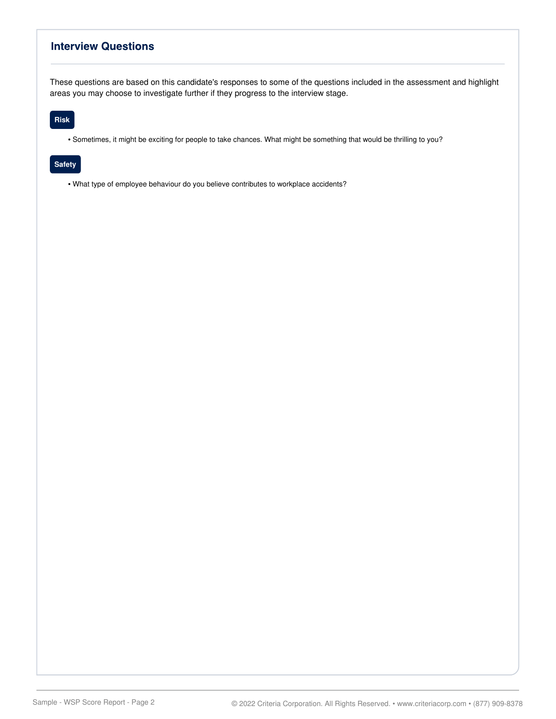### **Interview Questions**

These questions are based on this candidate's responses to some of the questions included in the assessment and highlight areas you may choose to investigate further if they progress to the interview stage.

#### **Risk**

• Sometimes, it might be exciting for people to take chances. What might be something that would be thrilling to you?

#### **Safety**

• What type of employee behaviour do you believe contributes to workplace accidents?